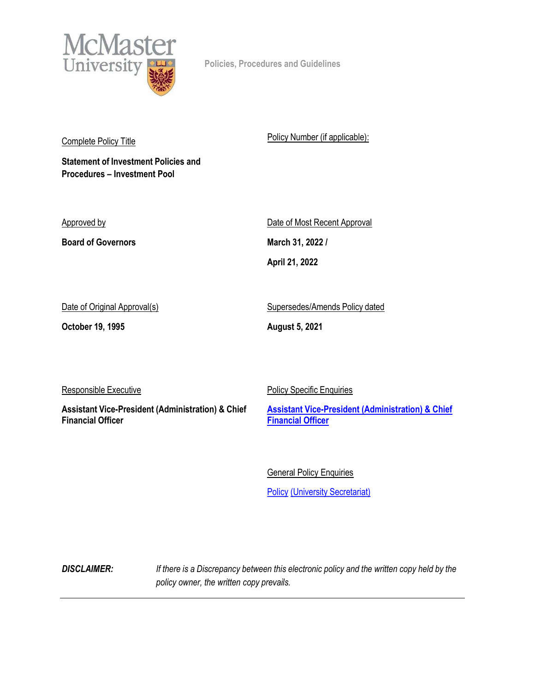

Policies, Procedures and Guidelines

Complete Policy Title

Statement of Investment Policies and Procedures – Investment Pool

Approved by

Board of Governors

Policy Number (if applicable):

Date of Most Recent Approval March 31, 2022 / April 21, 2022

Date of Original Approval(s)

October 19, 1995

Supersedes/Amends Policy dated

August 5, 2021

Responsible Executive

Assistant Vice-President (Administration) & Chief Financial Officer

**Policy Specific Enquiries** Assistant Vice-President (Administration) & Chief

General Policy Enquiries

**Financial Officer** 

**Policy (University Secretariat)** 

**DISCLAIMER:** If there is a Discrepancy between this electronic policy and the written copy held by the policy owner, the written copy prevails.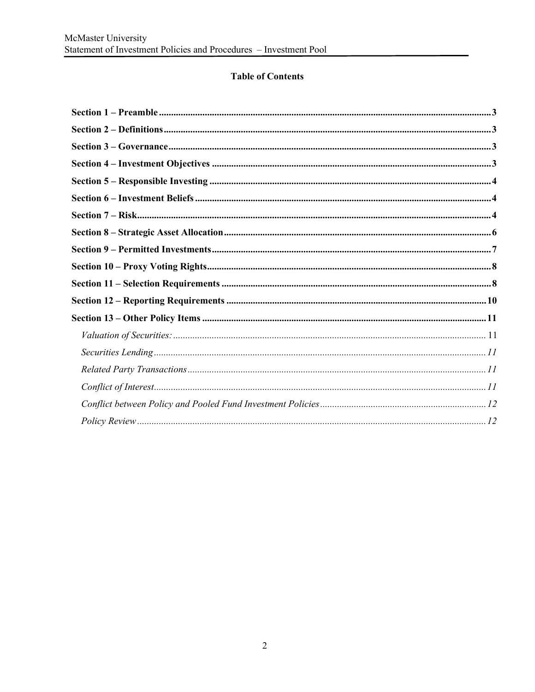# **Table of Contents**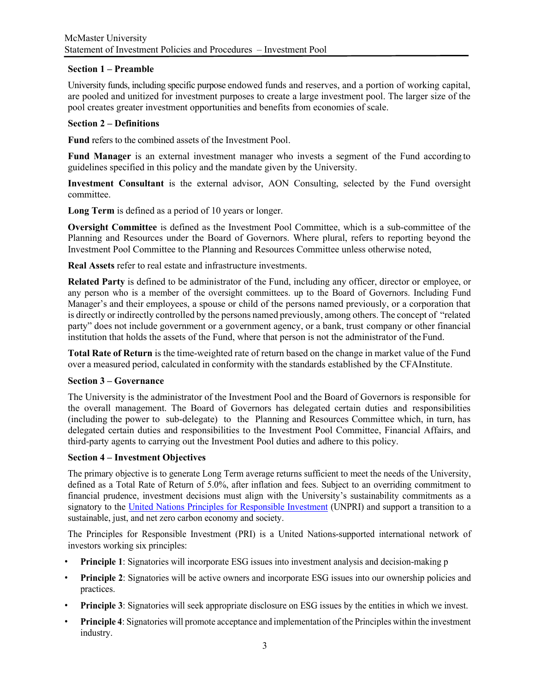#### Section 1 – Preamble

University funds, including specific purpose endowed funds and reserves, and a portion of working capital, are pooled and unitized for investment purposes to create a large investment pool. The larger size of the pool creates greater investment opportunities and benefits from economies of scale.

### Section 2 – Definitions

Fund refers to the combined assets of the Investment Pool.

Fund Manager is an external investment manager who invests a segment of the Fund according to guidelines specified in this policy and the mandate given by the University.

Investment Consultant is the external advisor, AON Consulting, selected by the Fund oversight committee.

Long Term is defined as a period of 10 years or longer.

Oversight Committee is defined as the Investment Pool Committee, which is a sub-committee of the Planning and Resources under the Board of Governors. Where plural, refers to reporting beyond the Investment Pool Committee to the Planning and Resources Committee unless otherwise noted,

Real Assets refer to real estate and infrastructure investments.

Related Party is defined to be administrator of the Fund, including any officer, director or employee, or any person who is a member of the oversight committees. up to the Board of Governors. Including Fund Manager's and their employees, a spouse or child of the persons named previously, or a corporation that is directly or indirectly controlled by the persons named previously, among others. The concept of "related party" does not include government or a government agency, or a bank, trust company or other financial institution that holds the assets of the Fund, where that person is not the administrator of the Fund.

Total Rate of Return is the time-weighted rate of return based on the change in market value of the Fund over a measured period, calculated in conformity with the standards established by the CFA Institute.

#### Section 3 – Governance

The University is the administrator of the Investment Pool and the Board of Governors is responsible for the overall management. The Board of Governors has delegated certain duties and responsibilities (including the power to sub-delegate) to the Planning and Resources Committee which, in turn, has delegated certain duties and responsibilities to the Investment Pool Committee, Financial Affairs, and third-party agents to carrying out the Investment Pool duties and adhere to this policy.

#### Section 4 – Investment Objectives

The primary objective is to generate Long Term average returns sufficient to meet the needs of the University, defined as a Total Rate of Return of 5.0%, after inflation and fees. Subject to an overriding commitment to financial prudence, investment decisions must align with the University's sustainability commitments as a signatory to the United Nations Principles for Responsible Investment (UNPRI) and support a transition to a sustainable, just, and net zero carbon economy and society.

The Principles for Responsible Investment (PRI) is a United Nations-supported international network of investors working six principles:

- Principle 1: Signatories will incorporate ESG issues into investment analysis and decision-making p
- **Principle 2:** Signatories will be active owners and incorporate ESG issues into our ownership policies and practices.
- **Principle 3:** Signatories will seek appropriate disclosure on ESG issues by the entities in which we invest.
- Principle 4: Signatories will promote acceptance and implementation of the Principles within the investment industry.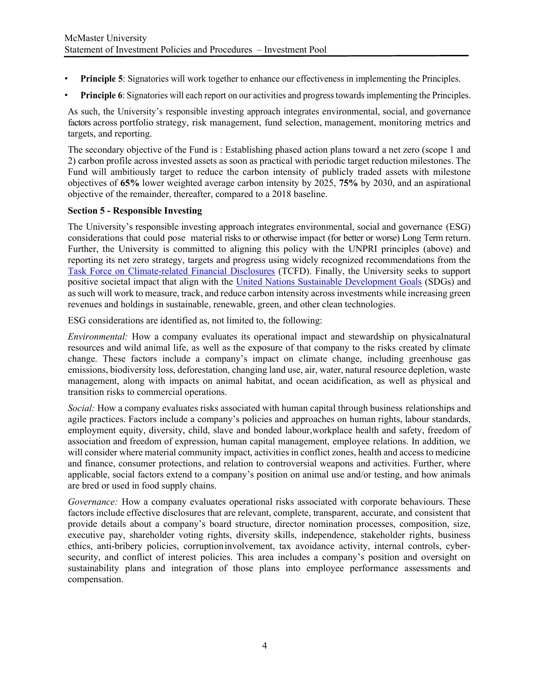- **Principle 5:** Signatories will work together to enhance our effectiveness in implementing the Principles.
- Principle 6: Signatories will each report on our activities and progress towards implementing the Principles.

As such, the University's responsible investing approach integrates environmental, social, and governance factors across portfolio strategy, risk management, fund selection, management, monitoring metrics and targets, and reporting.

The secondary objective of the Fund is : Establishing phased action plans toward a net zero (scope 1 and 2) carbon profile across invested assets as soon as practical with periodic target reduction milestones. The Fund will ambitiously target to reduce the carbon intensity of publicly traded assets with milestone objectives of 65% lower weighted average carbon intensity by 2025, 75% by 2030, and an aspirational objective of the remainder, thereafter, compared to a 2018 baseline.

#### Section 5 - Responsible Investing

The University's responsible investing approach integrates environmental, social and governance (ESG) considerations that could pose material risks to or otherwise impact (for better or worse) Long Term return. Further, the University is committed to aligning this policy with the UNPRI principles (above) and reporting its net zero strategy, targets and progress using widely recognized recommendations from the Task Force on Climate-related Financial Disclosures (TCFD). Finally, the University seeks to support positive societal impact that align with the United Nations Sustainable Development Goals (SDGs) and as such will work to measure, track, and reduce carbon intensity across investments while increasing green revenues and holdings in sustainable, renewable, green, and other clean technologies.

ESG considerations are identified as, not limited to, the following:

Environmental: How a company evaluates its operational impact and stewardship on physical natural resources and wild animal life, as well as the exposure of that company to the risks created by climate change. These factors include a company's impact on climate change, including greenhouse gas emissions, biodiversity loss, deforestation, changing land use, air, water, natural resource depletion, waste management, along with impacts on animal habitat, and ocean acidification, as well as physical and transition risks to commercial operations.

Social: How a company evaluates risks associated with human capital through business relationships and agile practices. Factors include a company's policies and approaches on human rights, labour standards, employment equity, diversity, child, slave and bonded labour, workplace health and safety, freedom of association and freedom of expression, human capital management, employee relations. In addition, we will consider where material community impact, activities in conflict zones, health and access to medicine and finance, consumer protections, and relation to controversial weapons and activities. Further, where applicable, social factors extend to a company's position on animal use and/or testing, and how animals are bred or used in food supply chains.

Governance: How a company evaluates operational risks associated with corporate behaviours. These factors include effective disclosures that are relevant, complete, transparent, accurate, and consistent that provide details about a company's board structure, director nomination processes, composition, size, executive pay, shareholder voting rights, diversity skills, independence, stakeholder rights, business ethics, anti-bribery policies, corruption involvement, tax avoidance activity, internal controls, cybersecurity, and conflict of interest policies. This area includes a company's position and oversight on sustainability plans and integration of those plans into employee performance assessments and compensation.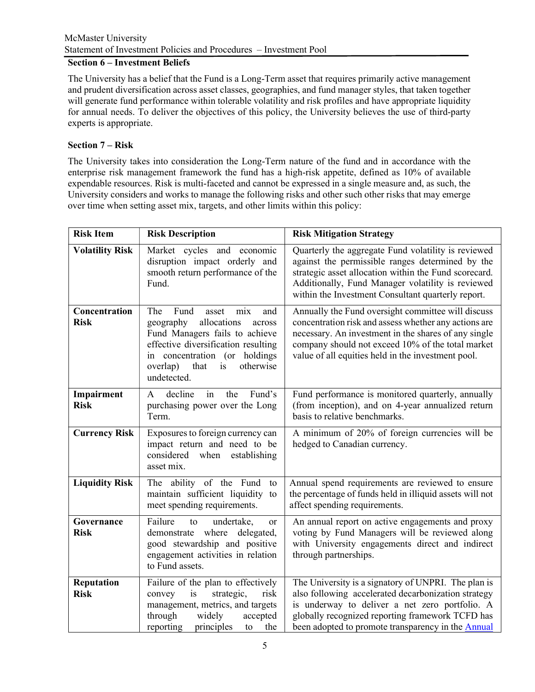# McMaster University Statement of Investment Policies and Procedures – Investment Pool

### Section 6 – Investment Beliefs

The University has a belief that the Fund is a Long-Term asset that requires primarily active management and prudent diversification across asset classes, geographies, and fund manager styles, that taken together will generate fund performance within tolerable volatility and risk profiles and have appropriate liquidity for annual needs. To deliver the objectives of this policy, the University believes the use of third-party experts is appropriate.

# Section 7 – Risk

The University takes into consideration the Long-Term nature of the fund and in accordance with the enterprise risk management framework the fund has a high-risk appetite, defined as 10% of available expendable resources. Risk is multi-faceted and cannot be expressed in a single measure and, as such, the University considers and works to manage the following risks and other such other risks that may emerge over time when setting asset mix, targets, and other limits within this policy:

| <b>Risk Item</b>             | <b>Risk Description</b>                                                                                                                                                                                                                  | <b>Risk Mitigation Strategy</b>                                                                                                                                                                                                                                                |
|------------------------------|------------------------------------------------------------------------------------------------------------------------------------------------------------------------------------------------------------------------------------------|--------------------------------------------------------------------------------------------------------------------------------------------------------------------------------------------------------------------------------------------------------------------------------|
| <b>Volatility Risk</b>       | Market cycles and economic<br>disruption impact orderly and<br>smooth return performance of the<br>Fund.                                                                                                                                 | Quarterly the aggregate Fund volatility is reviewed<br>against the permissible ranges determined by the<br>strategic asset allocation within the Fund scorecard.<br>Additionally, Fund Manager volatility is reviewed<br>within the Investment Consultant quarterly report.    |
| Concentration<br><b>Risk</b> | The<br>Fund<br>asset<br>mix<br>and<br>geography<br>allocations<br>across<br>Fund Managers fails to achieve<br>effective diversification resulting<br>in concentration (or holdings<br>otherwise<br>overlap)<br>that<br>is<br>undetected. | Annually the Fund oversight committee will discuss<br>concentration risk and assess whether any actions are<br>necessary. An investment in the shares of any single<br>company should not exceed 10% of the total market<br>value of all equities held in the investment pool. |
| Impairment<br><b>Risk</b>    | Fund's<br>decline<br>the<br>$\mathsf{A}$<br>in<br>purchasing power over the Long<br>Term.                                                                                                                                                | Fund performance is monitored quarterly, annually<br>(from inception), and on 4-year annualized return<br>basis to relative benchmarks.                                                                                                                                        |
| <b>Currency Risk</b>         | Exposures to foreign currency can<br>impact return and need to be<br>considered<br>when<br>establishing<br>asset mix.                                                                                                                    | A minimum of 20% of foreign currencies will be<br>hedged to Canadian currency.                                                                                                                                                                                                 |
| <b>Liquidity Risk</b>        | The ability of the Fund<br>to<br>maintain sufficient liquidity to<br>meet spending requirements.                                                                                                                                         | Annual spend requirements are reviewed to ensure<br>the percentage of funds held in illiquid assets will not<br>affect spending requirements.                                                                                                                                  |
| Governance<br><b>Risk</b>    | Failure<br>to<br>undertake,<br><sub>or</sub><br>demonstrate<br>where delegated,<br>good stewardship and positive<br>engagement activities in relation<br>to Fund assets.                                                                 | An annual report on active engagements and proxy<br>voting by Fund Managers will be reviewed along<br>with University engagements direct and indirect<br>through partnerships.                                                                                                 |
| Reputation<br><b>Risk</b>    | Failure of the plan to effectively<br>strategic,<br>convey<br>is<br>risk<br>management, metrics, and targets<br>through<br>widely<br>accepted<br>reporting<br>principles<br>the<br>to                                                    | The University is a signatory of UNPRI. The plan is<br>also following accelerated decarbonization strategy<br>is underway to deliver a net zero portfolio. A<br>globally recognized reporting framework TCFD has<br>been adopted to promote transparency in the <b>Annual</b>  |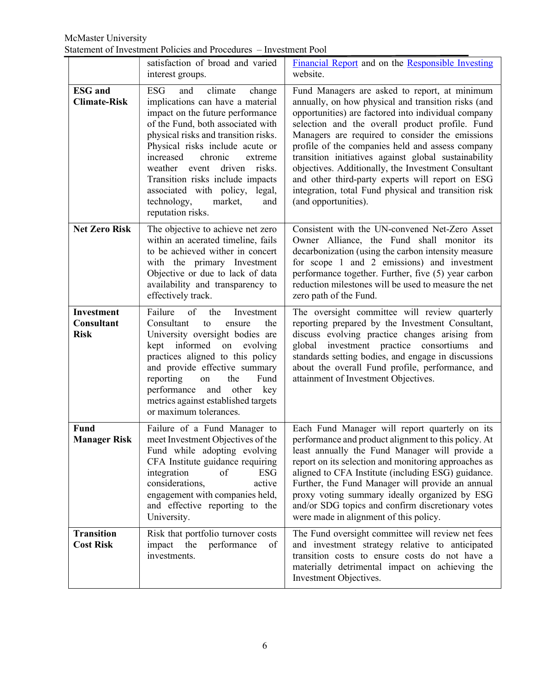|                                         | satisfaction of broad and varied<br>interest groups.                                                                                                                                                                                                                                                                                                                                                                               | Financial Report and on the Responsible Investing<br>website.                                                                                                                                                                                                                                                                                                                                                                                                                                                                                                            |
|-----------------------------------------|------------------------------------------------------------------------------------------------------------------------------------------------------------------------------------------------------------------------------------------------------------------------------------------------------------------------------------------------------------------------------------------------------------------------------------|--------------------------------------------------------------------------------------------------------------------------------------------------------------------------------------------------------------------------------------------------------------------------------------------------------------------------------------------------------------------------------------------------------------------------------------------------------------------------------------------------------------------------------------------------------------------------|
| <b>ESG</b> and<br><b>Climate-Risk</b>   | <b>ESG</b><br>climate<br>and<br>change<br>implications can have a material<br>impact on the future performance<br>of the Fund, both associated with<br>physical risks and transition risks.<br>Physical risks include acute or<br>increased<br>chronic<br>extreme<br>driven<br>weather event<br>risks.<br>Transition risks include impacts<br>associated with policy, legal,<br>technology,<br>market,<br>and<br>reputation risks. | Fund Managers are asked to report, at minimum<br>annually, on how physical and transition risks (and<br>opportunities) are factored into individual company<br>selection and the overall product profile. Fund<br>Managers are required to consider the emissions<br>profile of the companies held and assess company<br>transition initiatives against global sustainability<br>objectives. Additionally, the Investment Consultant<br>and other third-party experts will report on ESG<br>integration, total Fund physical and transition risk<br>(and opportunities). |
| <b>Net Zero Risk</b>                    | The objective to achieve net zero<br>within an acerated timeline, fails<br>to be achieved wither in concert<br>with the primary Investment<br>Objective or due to lack of data<br>availability and transparency to<br>effectively track.                                                                                                                                                                                           | Consistent with the UN-convened Net-Zero Asset<br>Owner Alliance, the Fund shall monitor its<br>decarbonization (using the carbon intensity measure<br>for scope 1 and 2 emissions) and investment<br>performance together. Further, five (5) year carbon<br>reduction milestones will be used to measure the net<br>zero path of the Fund.                                                                                                                                                                                                                              |
| Investment<br>Consultant<br><b>Risk</b> | Failure<br>of<br>the<br>Investment<br>Consultant<br>the<br>to<br>ensure<br>University oversight bodies are<br>kept informed on evolving<br>practices aligned to this policy<br>and provide effective summary<br>reporting<br>the<br>Fund<br>on<br>performance<br>and other<br>key<br>metrics against established targets<br>or maximum tolerances.                                                                                 | The oversight committee will review quarterly<br>reporting prepared by the Investment Consultant,<br>discuss evolving practice changes arising from<br>global investment practice consortiums<br>and<br>standards setting bodies, and engage in discussions<br>about the overall Fund profile, performance, and<br>attainment of Investment Objectives.                                                                                                                                                                                                                  |
| Fund<br><b>Manager Risk</b>             | Failure of a Fund Manager to<br>meet Investment Objectives of the<br>Fund while adopting evolving<br>CFA Institute guidance requiring<br>integration<br><b>ESG</b><br>of<br>considerations,<br>active<br>engagement with companies held,<br>and effective reporting to the<br>University.                                                                                                                                          | Each Fund Manager will report quarterly on its<br>performance and product alignment to this policy. At<br>least annually the Fund Manager will provide a<br>report on its selection and monitoring approaches as<br>aligned to CFA Institute (including ESG) guidance.<br>Further, the Fund Manager will provide an annual<br>proxy voting summary ideally organized by ESG<br>and/or SDG topics and confirm discretionary votes<br>were made in alignment of this policy.                                                                                               |
| <b>Transition</b><br><b>Cost Risk</b>   | Risk that portfolio turnover costs<br>impact<br>the<br>performance<br>of<br>investments.                                                                                                                                                                                                                                                                                                                                           | The Fund oversight committee will review net fees<br>and investment strategy relative to anticipated<br>transition costs to ensure costs do not have a<br>materially detrimental impact on achieving the<br>Investment Objectives.                                                                                                                                                                                                                                                                                                                                       |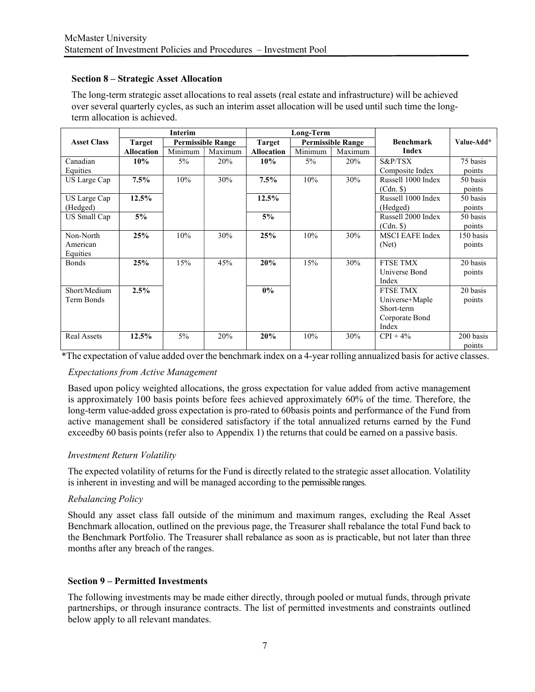### Section 8 – Strategic Asset Allocation

The long-term strategic asset allocations to real assets (real estate and infrastructure) will be achieved over several quarterly cycles, as such an interim asset allocation will be used until such time the longterm allocation is achieved.

|                    | Interim           |         | Long-Term                |                   |         |                          |                        |            |
|--------------------|-------------------|---------|--------------------------|-------------------|---------|--------------------------|------------------------|------------|
| <b>Asset Class</b> | Target            |         | <b>Permissible Range</b> | <b>Target</b>     |         | <b>Permissible Range</b> | <b>Benchmark</b>       | Value-Add* |
|                    | <b>Allocation</b> | Minimum | Maximum                  | <b>Allocation</b> | Minimum | Maximum                  | <b>Index</b>           |            |
| Canadian           | 10%               | $5\%$   | 20%                      | 10%               | $5\%$   | 20%                      | $S\&P/TSX$             | 75 basis   |
| Equities           |                   |         |                          |                   |         |                          | Composite Index        | points     |
| US Large Cap       | $7.5\%$           | 10%     | 30%                      | 7.5%              | 10%     | 30%                      | Russell 1000 Index     | 50 basis   |
|                    |                   |         |                          |                   |         |                          | $(Cdn.$ \$)            | points     |
| US Large Cap       | 12.5%             |         |                          | 12.5%             |         |                          | Russell 1000 Index     | 50 basis   |
| (Hedged)           |                   |         |                          |                   |         |                          | (Hedged)               | points     |
| US Small Cap       | 5%                |         |                          | 5%                |         |                          | Russell 2000 Index     | 50 basis   |
|                    |                   |         |                          |                   |         |                          | $(Cdn.$ \$)            | points     |
| Non-North          | 25%               | 10%     | 30%                      | 25%               | 10%     | 30%                      | <b>MSCI EAFE Index</b> | 150 basis  |
| American           |                   |         |                          |                   |         |                          | (Net)                  | points     |
| Equities           |                   |         |                          |                   |         |                          |                        |            |
| <b>Bonds</b>       | 25%               | 15%     | 45%                      | 20%               | 15%     | 30%                      | <b>FTSE TMX</b>        | 20 basis   |
|                    |                   |         |                          |                   |         |                          | Universe Bond          | points     |
|                    |                   |         |                          |                   |         |                          | Index                  |            |
| Short/Medium       | 2.5%              |         |                          | $0\%$             |         |                          | <b>FTSE TMX</b>        | 20 basis   |
| Term Bonds         |                   |         |                          |                   |         |                          | Universe+Maple         | points     |
|                    |                   |         |                          |                   |         |                          | Short-term             |            |
|                    |                   |         |                          |                   |         |                          | Corporate Bond         |            |
|                    |                   |         |                          |                   |         |                          | Index                  |            |
| <b>Real Assets</b> | 12.5%             | $5\%$   | 20%                      | 20%               | 10%     | 30%                      | $CPI + 4\%$            | 200 basis  |
|                    |                   |         |                          |                   |         |                          |                        | points     |

\*The expectation of value added over the benchmark index on a 4-year rolling annualized basis for active classes.

# Expectations from Active Management

Based upon policy weighted allocations, the gross expectation for value added from active management is approximately 100 basis points before fees achieved approximately 60% of the time. Therefore, the long-term value-added gross expectation is pro-rated to 60 basis points and performance of the Fund from active management shall be considered satisfactory if the total annualized returns earned by the Fund exceed by 60 basis points (refer also to Appendix 1) the returns that could be earned on a passive basis.

# Investment Return Volatility

The expected volatility of returns for the Fund is directly related to the strategic asset allocation. Volatility is inherent in investing and will be managed according to the permissible ranges.

#### Rebalancing Policy

Should any asset class fall outside of the minimum and maximum ranges, excluding the Real Asset Benchmark allocation, outlined on the previous page, the Treasurer shall rebalance the total Fund back to the Benchmark Portfolio. The Treasurer shall rebalance as soon as is practicable, but not later than three months after any breach of the ranges.

#### Section 9 – Permitted Investments

The following investments may be made either directly, through pooled or mutual funds, through private partnerships, or through insurance contracts. The list of permitted investments and constraints outlined below apply to all relevant mandates.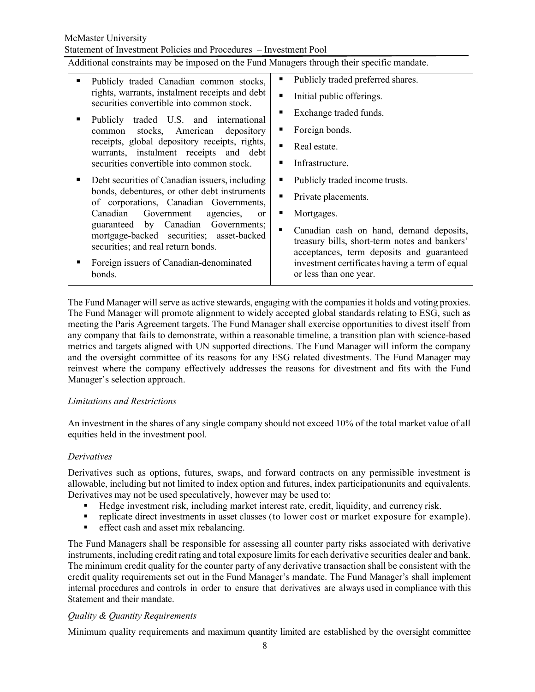Statement of Investment Policies and Procedures – Investment Pool

Additional constraints may be imposed on the Fund Managers through their specific mandate.

| Publicly traded Canadian common stocks,                                                                               | Publicly traded preferred shares.                                                                                                     |
|-----------------------------------------------------------------------------------------------------------------------|---------------------------------------------------------------------------------------------------------------------------------------|
| rights, warrants, instalment receipts and debt<br>securities convertible into common stock.                           | Initial public offerings.                                                                                                             |
| Publicly traded U.S. and international                                                                                | Exchange traded funds.                                                                                                                |
| common stocks, American depository                                                                                    | Foreign bonds.                                                                                                                        |
| receipts, global depository receipts, rights,<br>warrants, instalment receipts and debt                               | Real estate.<br>п                                                                                                                     |
| securities convertible into common stock.                                                                             | Infrastructure.                                                                                                                       |
| Debt securities of Canadian issuers, including                                                                        | Publicly traded income trusts.                                                                                                        |
| bonds, debentures, or other debt instruments<br>of corporations, Canadian Governments,                                | Private placements.                                                                                                                   |
| Canadian<br>Government agencies,                                                                                      | Mortgages.<br><sub>or</sub><br>п                                                                                                      |
| guaranteed by Canadian Governments;<br>mortgage-backed securities; asset-backed<br>securities; and real return bonds. | Canadian cash on hand, demand deposits,<br>treasury bills, short-term notes and bankers'<br>acceptances, term deposits and guaranteed |
| Foreign issuers of Canadian-denominated<br>bonds.                                                                     | investment certificates having a term of equal<br>or less than one year.                                                              |

The Fund Manager will serve as active stewards, engaging with the companies it holds and voting proxies. The Fund Manager will promote alignment to widely accepted global standards relating to ESG, such as meeting the Paris Agreement targets. The Fund Manager shall exercise opportunities to divest itself from any company that fails to demonstrate, within a reasonable timeline, a transition plan with science-based metrics and targets aligned with UN supported directions. The Fund Manager will inform the company and the oversight committee of its reasons for any ESG related divestments. The Fund Manager may reinvest where the company effectively addresses the reasons for divestment and fits with the Fund Manager's selection approach.

#### Limitations and Restrictions

An investment in the shares of any single company should not exceed 10% of the total market value of all equities held in the investment pool.

# **Derivatives**

Derivatives such as options, futures, swaps, and forward contracts on any permissible investment is allowable, including but not limited to index option and futures, index participation units and equivalents. Derivatives may not be used speculatively, however may be used to:

- Hedge investment risk, including market interest rate, credit, liquidity, and currency risk.
- replicate direct investments in asset classes (to lower cost or market exposure for example).
- **effect cash and asset mix rebalancing.**

The Fund Managers shall be responsible for assessing all counter party risks associated with derivative instruments, including credit rating and total exposure limits for each derivative securities dealer and bank. The minimum credit quality for the counter party of any derivative transaction shall be consistent with the credit quality requirements set out in the Fund Manager's mandate. The Fund Manager's shall implement internal procedures and controls in order to ensure that derivatives are always used in compliance with this Statement and their mandate.

# Quality & Quantity Requirements

Minimum quality requirements and maximum quantity limited are established by the oversight committee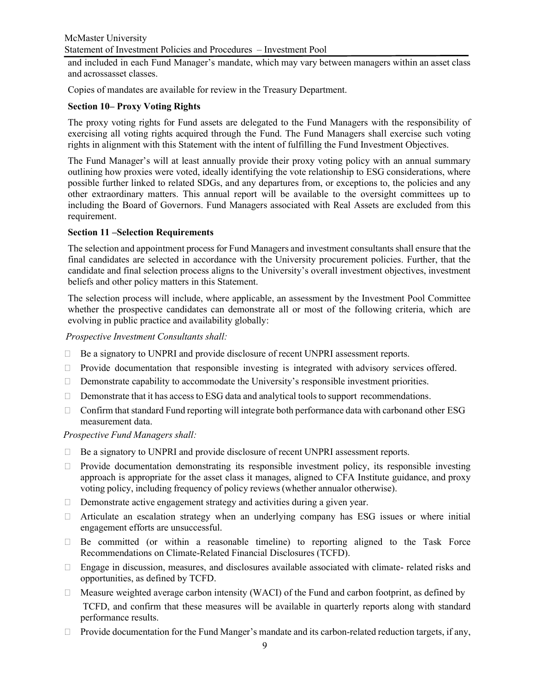and included in each Fund Manager's mandate, which may vary between managers within an asset class and acrossasset classes.

Copies of mandates are available for review in the Treasury Department.

# Section 10– Proxy Voting Rights

The proxy voting rights for Fund assets are delegated to the Fund Managers with the responsibility of exercising all voting rights acquired through the Fund. The Fund Managers shall exercise such voting rights in alignment with this Statement with the intent of fulfilling the Fund Investment Objectives.

The Fund Manager's will at least annually provide their proxy voting policy with an annual summary outlining how proxies were voted, ideally identifying the vote relationship to ESG considerations, where possible further linked to related SDGs, and any departures from, or exceptions to, the policies and any other extraordinary matters. This annual report will be available to the oversight committees up to including the Board of Governors. Fund Managers associated with Real Assets are excluded from this requirement.

# Section 11 –Selection Requirements

The selection and appointment process for Fund Managers and investment consultants shall ensure that the final candidates are selected in accordance with the University procurement policies. Further, that the candidate and final selection process aligns to the University's overall investment objectives, investment beliefs and other policy matters in this Statement.

The selection process will include, where applicable, an assessment by the Investment Pool Committee whether the prospective candidates can demonstrate all or most of the following criteria, which are evolving in public practice and availability globally:

Prospective Investment Consultants shall:

- $\Box$  Be a signatory to UNPRI and provide disclosure of recent UNPRI assessment reports.
- □ Provide documentation that responsible investing is integrated with advisory services offered.
- $\Box$  Demonstrate capability to accommodate the University's responsible investment priorities.
- $\Box$  Demonstrate that it has access to ESG data and analytical tools to support recommendations.
- $\Box$  Confirm that standard Fund reporting will integrate both performance data with carbon and other ESG measurement data.

Prospective Fund Managers shall:

- $\Box$  Be a signatory to UNPRI and provide disclosure of recent UNPRI assessment reports.
- $\Box$  Provide documentation demonstrating its responsible investment policy, its responsible investing approach is appropriate for the asset class it manages, aligned to CFA Institute guidance, and proxy voting policy, including frequency of policy reviews (whether annual or otherwise).
- $\Box$  Demonstrate active engagement strategy and activities during a given year.
- $\Box$  Articulate an escalation strategy when an underlying company has ESG issues or where initial engagement efforts are unsuccessful.
- $\Box$  Be committed (or within a reasonable timeline) to reporting aligned to the Task Force Recommendations on Climate-Related Financial Disclosures (TCFD).
- $\Box$  Engage in discussion, measures, and disclosures available associated with climate- related risks and opportunities, as defined by TCFD.
- $\Box$  Measure weighted average carbon intensity (WACI) of the Fund and carbon footprint, as defined by TCFD, and confirm that these measures will be available in quarterly reports along with standard performance results.
- $\Box$  Provide documentation for the Fund Manger's mandate and its carbon-related reduction targets, if any,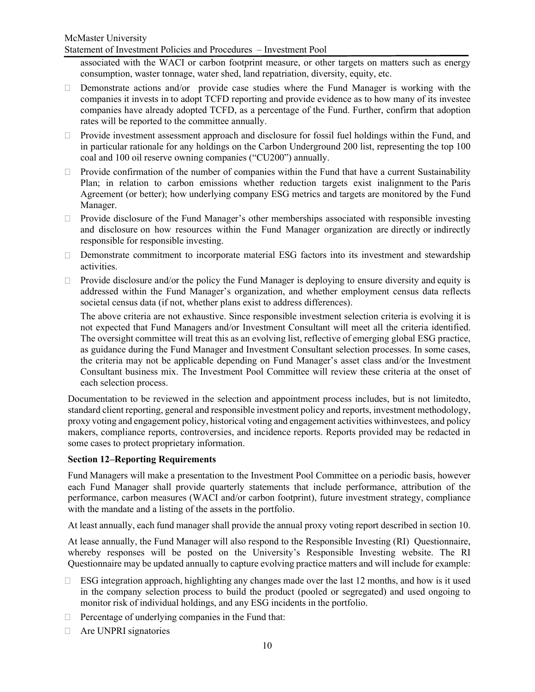Statement of Investment Policies and Procedures – Investment Pool

associated with the WACI or carbon footprint measure, or other targets on matters such as energy consumption, waster tonnage, water shed, land repatriation, diversity, equity, etc.

- Demonstrate actions and/or provide case studies where the Fund Manager is working with the companies it invests in to adopt TCFD reporting and provide evidence as to how many of its investee companies have already adopted TCFD, as a percentage of the Fund. Further, confirm that adoption rates will be reported to the committee annually.
- $\Box$  Provide investment assessment approach and disclosure for fossil fuel holdings within the Fund, and in particular rationale for any holdings on the Carbon Underground 200 list, representing the top 100 coal and 100 oil reserve owning companies ("CU200") annually.
- $\Box$  Provide confirmation of the number of companies within the Fund that have a current Sustainability Plan; in relation to carbon emissions whether reduction targets exist inalignment to the Paris Agreement (or better); how underlying company ESG metrics and targets are monitored by the Fund Manager.
- $\Box$  Provide disclosure of the Fund Manager's other memberships associated with responsible investing and disclosure on how resources within the Fund Manager organization are directly or indirectly responsible for responsible investing.
- Demonstrate commitment to incorporate material ESG factors into its investment and stewardship activities.
- $\Box$  Provide disclosure and/or the policy the Fund Manager is deploying to ensure diversity and equity is addressed within the Fund Manager's organization, and whether employment census data reflects societal census data (if not, whether plans exist to address differences).

The above criteria are not exhaustive. Since responsible investment selection criteria is evolving it is not expected that Fund Managers and/or Investment Consultant will meet all the criteria identified. The oversight committee will treat this as an evolving list, reflective of emerging global ESG practice, as guidance during the Fund Manager and Investment Consultant selection processes. In some cases, the criteria may not be applicable depending on Fund Manager's asset class and/or the Investment Consultant business mix. The Investment Pool Committee will review these criteria at the onset of each selection process.

Documentation to be reviewed in the selection and appointment process includes, but is not limited to, standard client reporting, general and responsible investment policy and reports, investment methodology, proxy voting and engagement policy, historical voting and engagement activities with investees, and policy makers, compliance reports, controversies, and incidence reports. Reports provided may be redacted in some cases to protect proprietary information.

#### Section 12–Reporting Requirements

Fund Managers will make a presentation to the Investment Pool Committee on a periodic basis, however each Fund Manager shall provide quarterly statements that include performance, attribution of the performance, carbon measures (WACI and/or carbon footprint), future investment strategy, compliance with the mandate and a listing of the assets in the portfolio.

At least annually, each fund manager shall provide the annual proxy voting report described in section 10.

At lease annually, the Fund Manager will also respond to the Responsible Investing (RI) Questionnaire, whereby responses will be posted on the University's Responsible Investing website. The RI Questionnaire may be updated annually to capture evolving practice matters and will include for example:

- $\Box$  ESG integration approach, highlighting any changes made over the last 12 months, and how is it used in the company selection process to build the product (pooled or segregated) and used ongoing to monitor risk of individual holdings, and any ESG incidents in the portfolio.
- $\Box$  Percentage of underlying companies in the Fund that:
- □ Are UNPRI signatories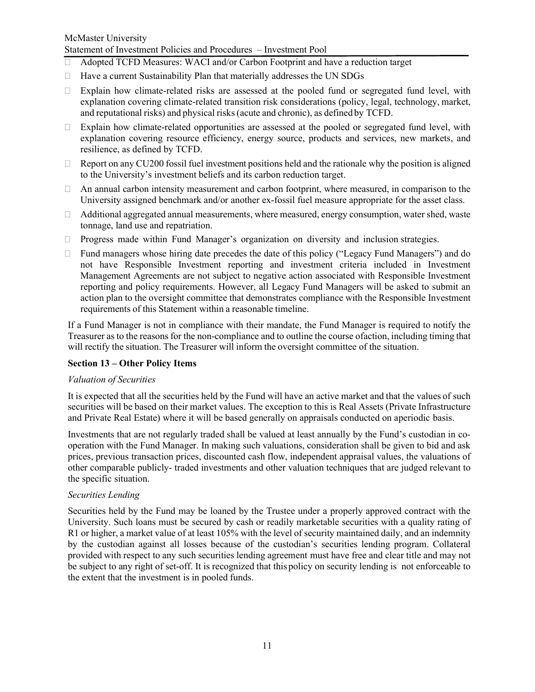### McMaster University Statement of Investment Policies and Procedures – Investment Pool

- $\Box$  Adopted TCFD Measures: WACI and/or Carbon Footprint and have a reduction target
- $\Box$  Have a current Sustainability Plan that materially addresses the UN SDGs
- $\Box$  Explain how climate-related risks are assessed at the pooled fund or segregated fund level, with explanation covering climate-related transition risk considerations (policy, legal, technology, market, and reputational risks) and physical risks (acute and chronic), as defined by TCFD.
- $\Box$  Explain how climate-related opportunities are assessed at the pooled or segregated fund level, with explanation covering resource efficiency, energy source, products and services, new markets, and resilience, as defined by TCFD.
- $\Box$  Report on any CU200 fossil fuel investment positions held and the rationale why the position is aligned to the University's investment beliefs and its carbon reduction target.
- $\Box$  An annual carbon intensity measurement and carbon footprint, where measured, in comparison to the University assigned benchmark and/or another ex-fossil fuel measure appropriate for the asset class.
- $\Box$  Additional aggregated annual measurements, where measured, energy consumption, water shed, waste tonnage, land use and repatriation.
- $\Box$  Progress made within Fund Manager's organization on diversity and inclusion strategies.
- $\Box$  Fund managers whose hiring date precedes the date of this policy ("Legacy Fund Managers") and do not have Responsible Investment reporting and investment criteria included in Investment Management Agreements are not subject to negative action associated with Responsible Investment reporting and policy requirements. However, all Legacy Fund Managers will be asked to submit an action plan to the oversight committee that demonstrates compliance with the Responsible Investment requirements of this Statement within a reasonable timeline.

If a Fund Manager is not in compliance with their mandate, the Fund Manager is required to notify the Treasurer as to the reasons for the non-compliance and to outline the course of action, including timing that will rectify the situation. The Treasurer will inform the oversight committee of the situation.

# Section 13 – Other Policy Items

#### Valuation of Securities

It is expected that all the securities held by the Fund will have an active market and that the values of such securities will be based on their market values. The exception to this is Real Assets (Private Infrastructure and Private Real Estate) where it will be based generally on appraisals conducted on aperiodic basis.

Investments that are not regularly traded shall be valued at least annually by the Fund's custodian in cooperation with the Fund Manager. In making such valuations, consideration shall be given to bid and ask prices, previous transaction prices, discounted cash flow, independent appraisal values, the valuations of other comparable publicly- traded investments and other valuation techniques that are judged relevant to the specific situation.

#### Securities Lending

Securities held by the Fund may be loaned by the Trustee under a properly approved contract with the University. Such loans must be secured by cash or readily marketable securities with a quality rating of R1 or higher, a market value of at least 105% with the level of security maintained daily, and an indemnity by the custodian against all losses because of the custodian's securities lending program. Collateral provided with respect to any such securities lending agreement must have free and clear title and may not be subject to any right of set-off. It is recognized that this policy on security lending is not enforceable to the extent that the investment is in pooled funds.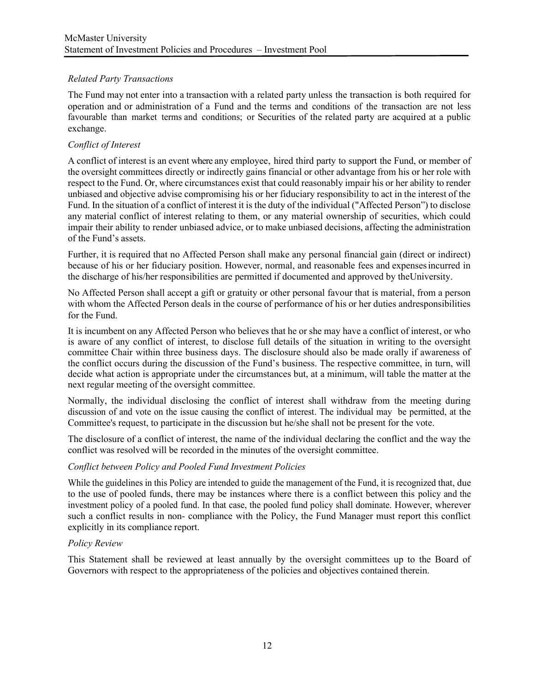# Related Party Transactions

The Fund may not enter into a transaction with a related party unless the transaction is both required for operation and or administration of a Fund and the terms and conditions of the transaction are not less favourable than market terms and conditions; or Securities of the related party are acquired at a public exchange.

# Conflict of Interest

A conflict of interest is an event where any employee , hired third party to support the Fund, or member of the oversight committees directly or indirectly gains financial or other advantage from his or her role with respect to the Fund. Or, where circumstances exist that could reasonably impair his or her ability to render unbiased and objective advise compromising his or her fiduciary responsibility to act in the interest of the Fund. In the situation of a conflict of interest it is the duty of the individual ("Affected Person") to disclose any material conflict of interest relating to them, or any material ownership of securities, which could impair their ability to render unbiased advice, or to make unbiased decisions, affecting the administration of the Fund's assets.

Further, it is required that no Affected Person shall make any personal financial gain (direct or indirect) because of his or her fiduciary position. However, normal, and reasonable fees and expenses incurred in the discharge of his/her responsibilities are permitted if documented and approved by the University.

No Affected Person shall accept a gift or gratuity or other personal favour that is material, from a person with whom the Affected Person deals in the course of performance of his or her duties and responsibilities for the Fund.

It is incumbent on any Affected Person who believes that he or she may have a conflict of interest, or who is aware of any conflict of interest, to disclose full details of the situation in writing to the oversight committee Chair within three business days. The disclosure should also be made orally if awareness of the conflict occurs during the discussion of the Fund's business. The respective committee, in turn, will decide what action is appropriate under the circumstances but, at a minimum, will table the matter at the next regular meeting of the oversight committee.

Normally, the individual disclosing the conflict of interest shall withdraw from the meeting during discussion of and vote on the issue causing the conflict of interest. The individual may be permitted, at the Committee's request, to participate in the discussion but he/she shall not be present for the vote.

The disclosure of a conflict of interest, the name of the individual declaring the conflict and the way the conflict was resolved will be recorded in the minutes of the oversight committee.

# Conflict between Policy and Pooled Fund Investment Policies

While the guidelines in this Policy are intended to guide the management of the Fund, it is recognized that, due to the use of pooled funds, there may be instances where there is a conflict between this policy and the investment policy of a pooled fund. In that case, the pooled fund policy shall dominate. However, wherever such a conflict results in non- compliance with the Policy, the Fund Manager must report this conflict explicitly in its compliance report.

# Policy Review

This Statement shall be reviewed at least annually by the oversight committees up to the Board of Governors with respect to the appropriateness of the policies and objectives contained therein.